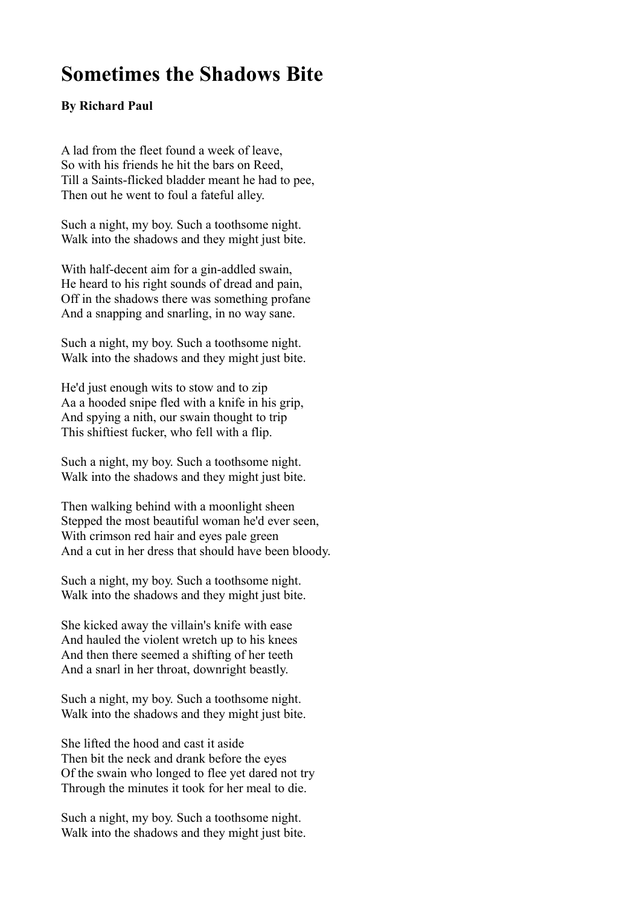## **Sometimes the Shadows Bite**

## **By Richard Paul**

A lad from the fleet found a week of leave, So with his friends he hit the bars on Reed, Till a Saints-flicked bladder meant he had to pee, Then out he went to foul a fateful alley.

Such a night, my boy. Such a toothsome night. Walk into the shadows and they might just bite.

With half-decent aim for a gin-addled swain, He heard to his right sounds of dread and pain, Off in the shadows there was something profane And a snapping and snarling, in no way sane.

Such a night, my boy. Such a toothsome night. Walk into the shadows and they might just bite.

He'd just enough wits to stow and to zip Aa a hooded snipe fled with a knife in his grip, And spying a nith, our swain thought to trip This shiftiest fucker, who fell with a flip.

Such a night, my boy. Such a toothsome night. Walk into the shadows and they might just bite.

Then walking behind with a moonlight sheen Stepped the most beautiful woman he'd ever seen, With crimson red hair and eyes pale green And a cut in her dress that should have been bloody.

Such a night, my boy. Such a toothsome night. Walk into the shadows and they might just bite.

She kicked away the villain's knife with ease And hauled the violent wretch up to his knees And then there seemed a shifting of her teeth And a snarl in her throat, downright beastly.

Such a night, my boy. Such a toothsome night. Walk into the shadows and they might just bite.

She lifted the hood and cast it aside Then bit the neck and drank before the eyes Of the swain who longed to flee yet dared not try Through the minutes it took for her meal to die.

Such a night, my boy. Such a toothsome night. Walk into the shadows and they might just bite.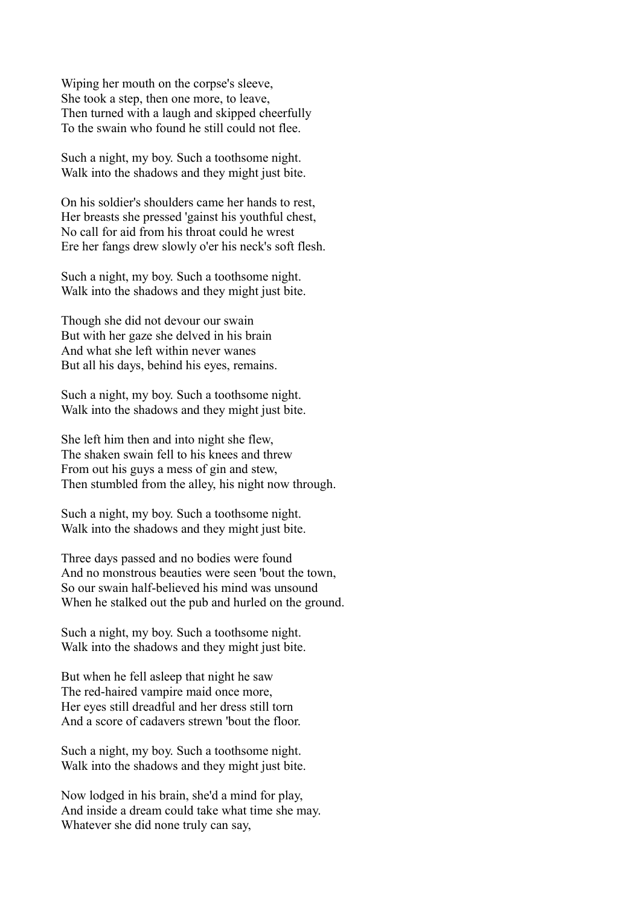Wiping her mouth on the corpse's sleeve, She took a step, then one more, to leave, Then turned with a laugh and skipped cheerfully To the swain who found he still could not flee.

Such a night, my boy. Such a toothsome night. Walk into the shadows and they might just bite.

On his soldier's shoulders came her hands to rest, Her breasts she pressed 'gainst his youthful chest, No call for aid from his throat could he wrest Ere her fangs drew slowly o'er his neck's soft flesh.

Such a night, my boy. Such a toothsome night. Walk into the shadows and they might just bite.

Though she did not devour our swain But with her gaze she delved in his brain And what she left within never wanes But all his days, behind his eyes, remains.

Such a night, my boy. Such a toothsome night. Walk into the shadows and they might just bite.

She left him then and into night she flew, The shaken swain fell to his knees and threw From out his guys a mess of gin and stew, Then stumbled from the alley, his night now through.

Such a night, my boy. Such a toothsome night. Walk into the shadows and they might just bite.

Three days passed and no bodies were found And no monstrous beauties were seen 'bout the town, So our swain half-believed his mind was unsound When he stalked out the pub and hurled on the ground.

Such a night, my boy. Such a toothsome night. Walk into the shadows and they might just bite.

But when he fell asleep that night he saw The red-haired vampire maid once more, Her eyes still dreadful and her dress still torn And a score of cadavers strewn 'bout the floor.

Such a night, my boy. Such a toothsome night. Walk into the shadows and they might just bite.

Now lodged in his brain, she'd a mind for play, And inside a dream could take what time she may. Whatever she did none truly can say,